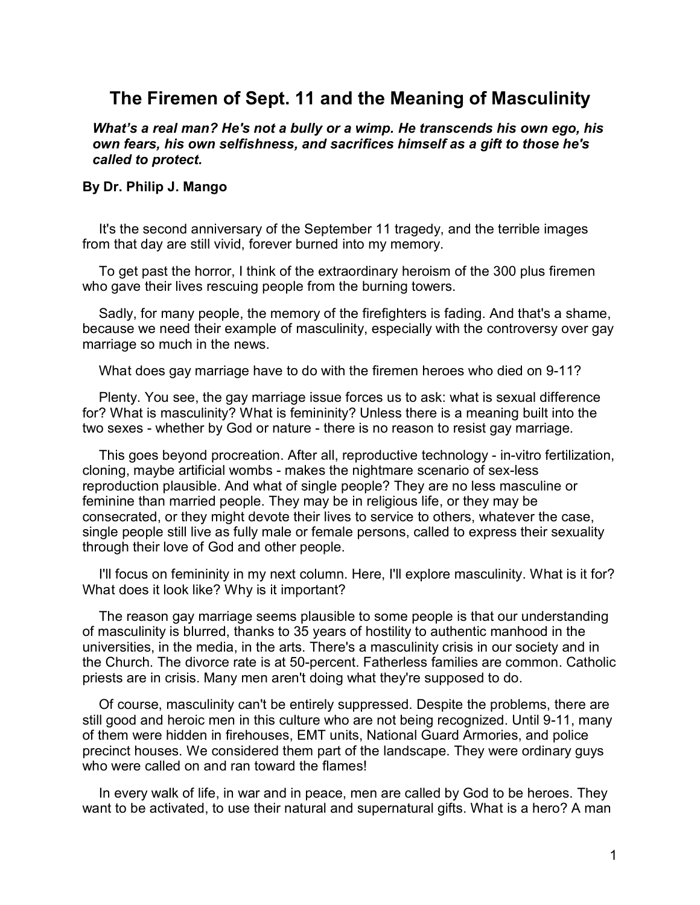## **The Firemen of Sept. 11 and the Meaning of Masculinity**

*What's a real man? He's not a bully or a wimp. He transcends his own ego, his own fears, his own selfishness, and sacrifices himself as a gift to those he's called to protect.*

## **By Dr. Philip J. Mango**

It's the second anniversary of the September 11 tragedy, and the terrible images from that day are still vivid, forever burned into my memory.

To get past the horror, I think of the extraordinary heroism of the 300 plus firemen who gave their lives rescuing people from the burning towers.

Sadly, for many people, the memory of the firefighters is fading. And that's a shame, because we need their example of masculinity, especially with the controversy over gay marriage so much in the news.

What does gay marriage have to do with the firemen heroes who died on 9-11?

Plenty. You see, the gay marriage issue forces us to ask: what is sexual difference for? What is masculinity? What is femininity? Unless there is a meaning built into the two sexes - whether by God or nature - there is no reason to resist gay marriage.

This goes beyond procreation. After all, reproductive technology - in-vitro fertilization, cloning, maybe artificial wombs - makes the nightmare scenario of sex-less reproduction plausible. And what of single people? They are no less masculine or feminine than married people. They may be in religious life, or they may be consecrated, or they might devote their lives to service to others, whatever the case, single people still live as fully male or female persons, called to express their sexuality through their love of God and other people.

I'll focus on femininity in my next column. Here, I'll explore masculinity. What is it for? What does it look like? Why is it important?

The reason gay marriage seems plausible to some people is that our understanding of masculinity is blurred, thanks to 35 years of hostility to authentic manhood in the universities, in the media, in the arts. There's a masculinity crisis in our society and in the Church. The divorce rate is at 50-percent. Fatherless families are common. Catholic priests are in crisis. Many men aren't doing what they're supposed to do.

Of course, masculinity can't be entirely suppressed. Despite the problems, there are still good and heroic men in this culture who are not being recognized. Until 9-11, many of them were hidden in firehouses, EMT units, National Guard Armories, and police precinct houses. We considered them part of the landscape. They were ordinary guys who were called on and ran toward the flames!

In every walk of life, in war and in peace, men are called by God to be heroes. They want to be activated, to use their natural and supernatural gifts. What is a hero? A man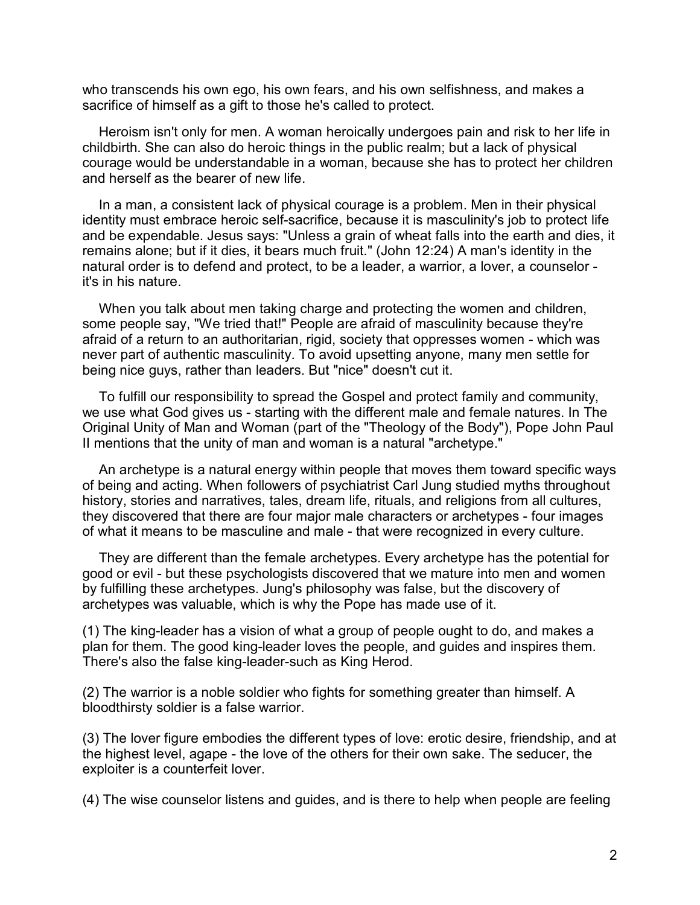who transcends his own ego, his own fears, and his own selfishness, and makes a sacrifice of himself as a gift to those he's called to protect.

Heroism isn't only for men. A woman heroically undergoes pain and risk to her life in childbirth. She can also do heroic things in the public realm; but a lack of physical courage would be understandable in a woman, because she has to protect her children and herself as the bearer of new life.

In a man, a consistent lack of physical courage is a problem. Men in their physical identity must embrace heroic self-sacrifice, because it is masculinity's job to protect life and be expendable. Jesus says: "Unless a grain of wheat falls into the earth and dies, it remains alone; but if it dies, it bears much fruit." (John 12:24) A man's identity in the natural order is to defend and protect, to be a leader, a warrior, a lover, a counselor it's in his nature.

When you talk about men taking charge and protecting the women and children, some people say, "We tried that!" People are afraid of masculinity because they're afraid of a return to an authoritarian, rigid, society that oppresses women - which was never part of authentic masculinity. To avoid upsetting anyone, many men settle for being nice guys, rather than leaders. But "nice" doesn't cut it.

To fulfill our responsibility to spread the Gospel and protect family and community, we use what God gives us - starting with the different male and female natures. In The Original Unity of Man and Woman (part of the "Theology of the Body"), Pope John Paul II mentions that the unity of man and woman is a natural "archetype."

An archetype is a natural energy within people that moves them toward specific ways of being and acting. When followers of psychiatrist Carl Jung studied myths throughout history, stories and narratives, tales, dream life, rituals, and religions from all cultures, they discovered that there are four major male characters or archetypes - four images of what it means to be masculine and male - that were recognized in every culture.

They are different than the female archetypes. Every archetype has the potential for good or evil - but these psychologists discovered that we mature into men and women by fulfilling these archetypes. Jung's philosophy was false, but the discovery of archetypes was valuable, which is why the Pope has made use of it.

(1) The king-leader has a vision of what a group of people ought to do, and makes a plan for them. The good king-leader loves the people, and guides and inspires them. There's also the false king-leader-such as King Herod.

(2) The warrior is a noble soldier who fights for something greater than himself. A bloodthirsty soldier is a false warrior.

(3) The lover figure embodies the different types of love: erotic desire, friendship, and at the highest level, agape - the love of the others for their own sake. The seducer, the exploiter is a counterfeit lover.

(4) The wise counselor listens and guides, and is there to help when people are feeling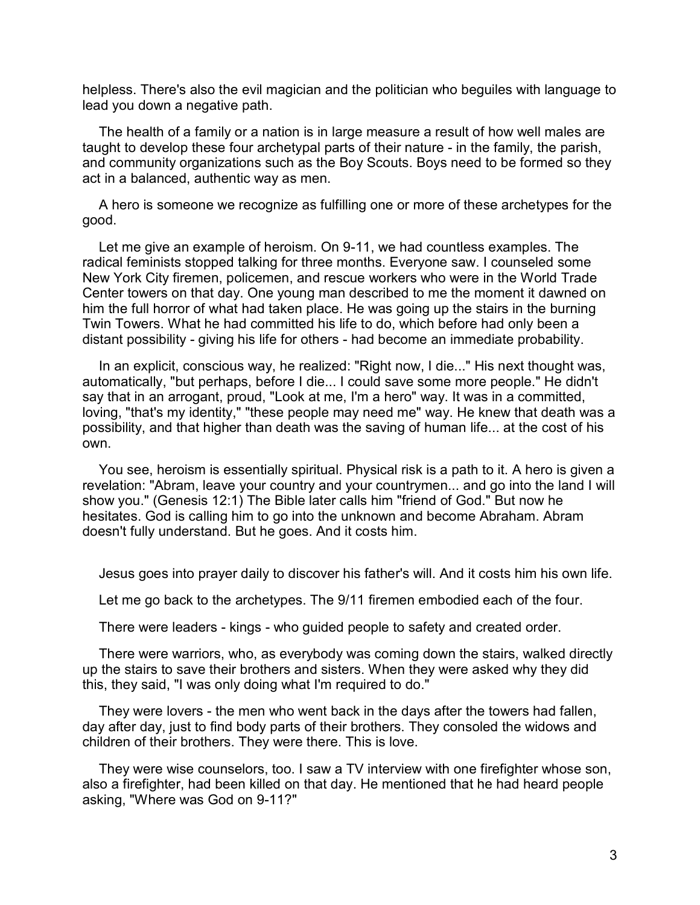helpless. There's also the evil magician and the politician who beguiles with language to lead you down a negative path.

The health of a family or a nation is in large measure a result of how well males are taught to develop these four archetypal parts of their nature - in the family, the parish, and community organizations such as the Boy Scouts. Boys need to be formed so they act in a balanced, authentic way as men.

A hero is someone we recognize as fulfilling one or more of these archetypes for the good.

Let me give an example of heroism. On 9-11, we had countless examples. The radical feminists stopped talking for three months. Everyone saw. I counseled some New York City firemen, policemen, and rescue workers who were in the World Trade Center towers on that day. One young man described to me the moment it dawned on him the full horror of what had taken place. He was going up the stairs in the burning Twin Towers. What he had committed his life to do, which before had only been a distant possibility - giving his life for others - had become an immediate probability.

In an explicit, conscious way, he realized: "Right now, I die..." His next thought was, automatically, "but perhaps, before I die... I could save some more people." He didn't say that in an arrogant, proud, "Look at me, I'm a hero" way. It was in a committed, loving, "that's my identity," "these people may need me" way. He knew that death was a possibility, and that higher than death was the saving of human life... at the cost of his own.

You see, heroism is essentially spiritual. Physical risk is a path to it. A hero is given a revelation: "Abram, leave your country and your countrymen... and go into the land I will show you." (Genesis 12:1) The Bible later calls him "friend of God." But now he hesitates. God is calling him to go into the unknown and become Abraham. Abram doesn't fully understand. But he goes. And it costs him.

Jesus goes into prayer daily to discover his father's will. And it costs him his own life.

Let me go back to the archetypes. The 9/11 firemen embodied each of the four.

There were leaders - kings - who guided people to safety and created order.

There were warriors, who, as everybody was coming down the stairs, walked directly up the stairs to save their brothers and sisters. When they were asked why they did this, they said, "I was only doing what I'm required to do."

They were lovers - the men who went back in the days after the towers had fallen, day after day, just to find body parts of their brothers. They consoled the widows and children of their brothers. They were there. This is love.

They were wise counselors, too. I saw a TV interview with one firefighter whose son, also a firefighter, had been killed on that day. He mentioned that he had heard people asking, "Where was God on 9-11?"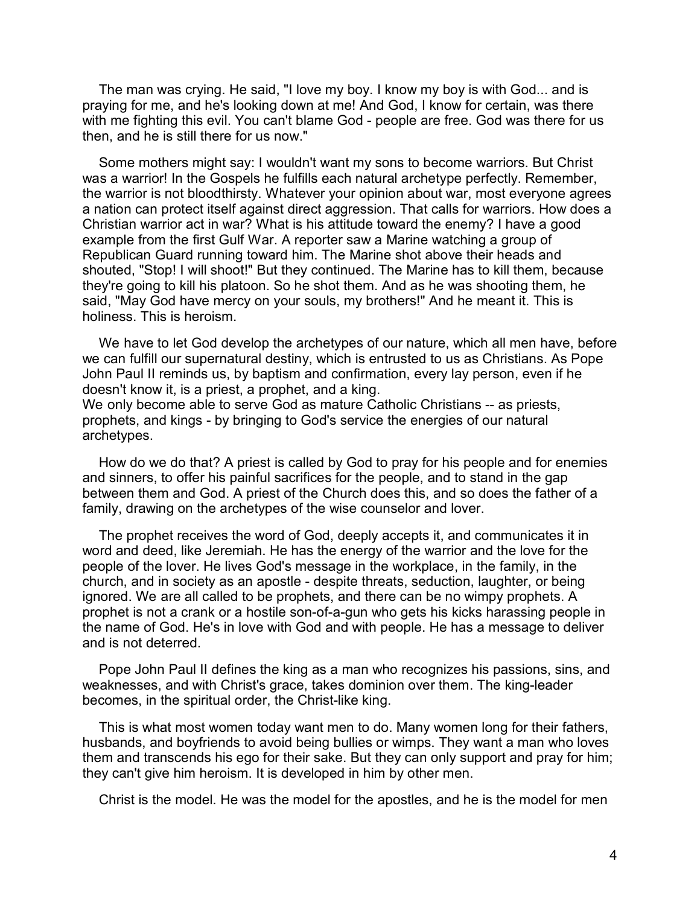The man was crying. He said, "I love my boy. I know my boy is with God... and is praying for me, and he's looking down at me! And God, I know for certain, was there with me fighting this evil. You can't blame God - people are free. God was there for us then, and he is still there for us now."

Some mothers might say: I wouldn't want my sons to become warriors. But Christ was a warrior! In the Gospels he fulfills each natural archetype perfectly. Remember, the warrior is not bloodthirsty. Whatever your opinion about war, most everyone agrees a nation can protect itself against direct aggression. That calls for warriors. How does a Christian warrior act in war? What is his attitude toward the enemy? I have a good example from the first Gulf War. A reporter saw a Marine watching a group of Republican Guard running toward him. The Marine shot above their heads and shouted, "Stop! I will shoot!" But they continued. The Marine has to kill them, because they're going to kill his platoon. So he shot them. And as he was shooting them, he said, "May God have mercy on your souls, my brothers!" And he meant it. This is holiness. This is heroism.

We have to let God develop the archetypes of our nature, which all men have, before we can fulfill our supernatural destiny, which is entrusted to us as Christians. As Pope John Paul II reminds us, by baptism and confirmation, every lay person, even if he doesn't know it, is a priest, a prophet, and a king.

We only become able to serve God as mature Catholic Christians -- as priests, prophets, and kings - by bringing to God's service the energies of our natural archetypes.

How do we do that? A priest is called by God to pray for his people and for enemies and sinners, to offer his painful sacrifices for the people, and to stand in the gap between them and God. A priest of the Church does this, and so does the father of a family, drawing on the archetypes of the wise counselor and lover.

The prophet receives the word of God, deeply accepts it, and communicates it in word and deed, like Jeremiah. He has the energy of the warrior and the love for the people of the lover. He lives God's message in the workplace, in the family, in the church, and in society as an apostle - despite threats, seduction, laughter, or being ignored. We are all called to be prophets, and there can be no wimpy prophets. A prophet is not a crank or a hostile son-of-a-gun who gets his kicks harassing people in the name of God. He's in love with God and with people. He has a message to deliver and is not deterred.

Pope John Paul II defines the king as a man who recognizes his passions, sins, and weaknesses, and with Christ's grace, takes dominion over them. The king-leader becomes, in the spiritual order, the Christ-like king.

This is what most women today want men to do. Many women long for their fathers, husbands, and boyfriends to avoid being bullies or wimps. They want a man who loves them and transcends his ego for their sake. But they can only support and pray for him; they can't give him heroism. It is developed in him by other men.

Christ is the model. He was the model for the apostles, and he is the model for men